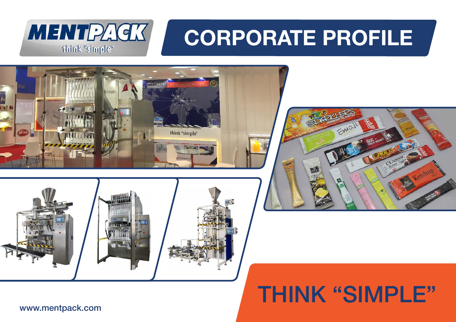

# **CORPORATE PROFILE**







### THINK "SIMPLE"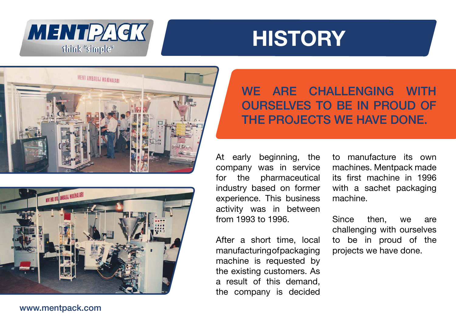







### WE ARE CHALLENGING WITH OURSELVES TO BE IN PROUD OF THE PROJECTS WE HAVE DONE.

At early beginning, the company was in service for the pharmaceutical industry based on former experience. This business activity was in between from 1993 to 1996.

After a short time, local manufacturing of packaging machine is requested by the existing customers. As a result of this demand, the company is decided

to manufacture its own machines. Mentpack made its first machine in 1996 with a sachet packaging machine.

Since then, we are challenging with ourselves to be in proud of the projects we have done.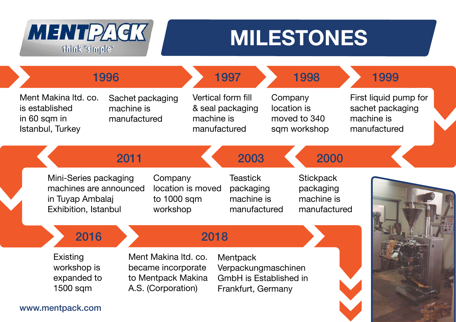

### **MILESTONES**

| 1996                                                                                                                                                |                                                |                                                         | 1997                                                                            |                                                             | 1998 | 1999                                                                    |  |
|-----------------------------------------------------------------------------------------------------------------------------------------------------|------------------------------------------------|---------------------------------------------------------|---------------------------------------------------------------------------------|-------------------------------------------------------------|------|-------------------------------------------------------------------------|--|
| Ment Makina Itd. co.<br>is established<br>in 60 sqm in<br>Istanbul, Turkey                                                                          | Sachet packaging<br>machine is<br>manufactured |                                                         | Vertical form fill<br>& seal packaging<br>machine is<br>manufactured            | Company<br>location is<br>moved to 340<br>sqm workshop      |      | First liquid pump for<br>sachet packaging<br>machine is<br>manufactured |  |
|                                                                                                                                                     | 2011                                           |                                                         | 2003                                                                            |                                                             | 2000 |                                                                         |  |
| Mini-Series packaging<br>machines are announced<br>in Tuyap Ambalaj<br>Exhibition, Istanbul                                                         |                                                | Company<br>location is moved<br>to 1000 sqm<br>workshop | <b>Teastick</b><br>packaging<br>machine is<br>manufactured                      | <b>Stickpack</b><br>packaging<br>machine is<br>manufactured |      |                                                                         |  |
| 2016                                                                                                                                                |                                                |                                                         | 2018                                                                            |                                                             |      |                                                                         |  |
| Ment Makina Itd. co.<br><b>Existing</b><br>workshop is<br>became incorporate<br>expanded to<br>to Mentpack Makina<br>A.S. (Corporation)<br>1500 sqm |                                                |                                                         | Mentpack<br>Verpackungmaschinen<br>GmbH is Established in<br>Frankfurt, Germany |                                                             |      |                                                                         |  |
| www.mentpack.com                                                                                                                                    |                                                |                                                         |                                                                                 |                                                             |      |                                                                         |  |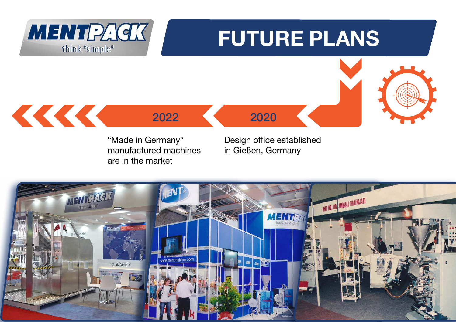

"Made in Germany" manufactured machines are in the market

Design office established in Gießen, Germany

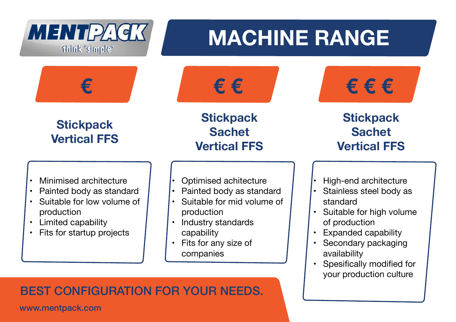

### BEST CONFIGURATION FOR YOUR NEEDS.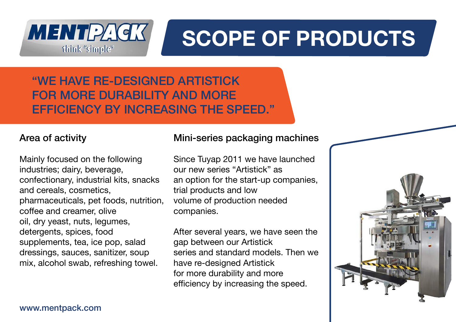MENTPAGK think "simple"

# **SCOPE OF PRODUCTS**

"WE HAVE RE-DESIGNED ARTISTICK FOR MORE DURABILITY AND MORE EFFICIENCY BY INCREASING THE SPEED."

### Area of activity

Mainly focused on the following industries; dairy, beverage, confectionary, industrial kits, snacks and cereals, cosmetics, pharmaceuticals, pet foods, nutrition, coffee and creamer, olive oil, dry yeast, nuts, legumes, detergents, spices, food supplements, tea, ice pop, salad dressings, sauces, sanitizer, soup mix, alcohol swab, refreshing towel.

### Mini-series packaging machines

Since Tuyap 2011 we have launched our new series "Artistick" as an option for the start-up companies, trial products and low volume of production needed companies.

After several years, we have seen the gap between our Artistick series and standard models. Then we have re-designed Artistick for more durability and more efficiency by increasing the speed.

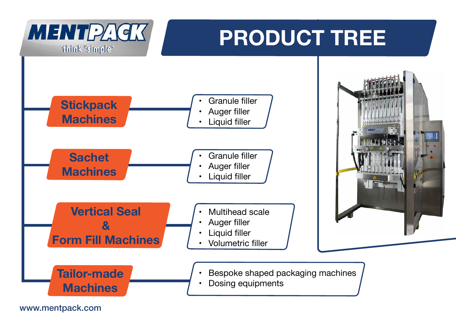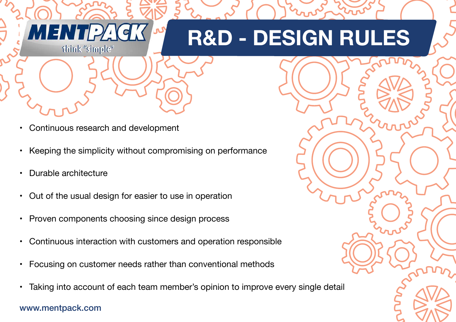## **R&D - DESIGN RULES**

- Continuous research and development
- Keeping the simplicity without compromising on performance
- Durable architecture

**MENTP** 

think "simple"

- Out of the usual design for easier to use in operation
- Proven components choosing since design process
- Continuous interaction with customers and operation responsible
- Focusing on customer needs rather than conventional methods
- Taking into account of each team member's opinion to improve every single detail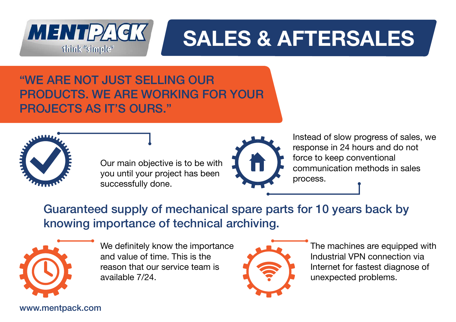

## **SALES & AFTERSALES**

"WE ARE NOT JUST SELLING OUR PRODUCTS. WE ARE WORKING FOR YOUR PROJECTS AS IT'S OURS."



Our main objective is to be with you until your project has been successfully done.



Instead of slow progress of sales, we response in 24 hours and do not force to keep conventional communication methods in sales process.

Guaranteed supply of mechanical spare parts for 10 years back by knowing importance of technical archiving.



We definitely know the importance and value of time. This is the reason that our service team is available 7/24.



The machines are equipped with Industrial VPN connection via Internet for fastest diagnose of unexpected problems.